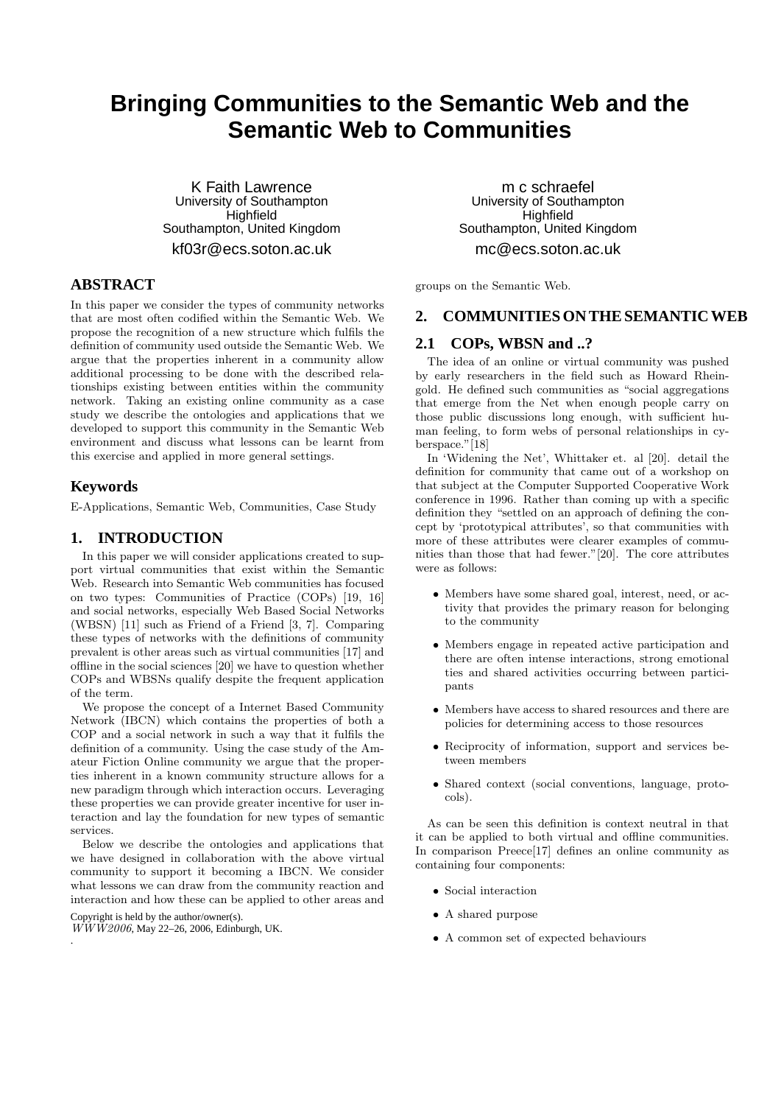# **Bringing Communities to the Semantic Web and the Semantic Web to Communities**

K Faith Lawrence University of Southampton **Highfield** Southampton, United Kingdom kf03r@ecs.soton.ac.uk

# **ABSTRACT**

In this paper we consider the types of community networks that are most often codified within the Semantic Web. We propose the recognition of a new structure which fulfils the definition of community used outside the Semantic Web. We argue that the properties inherent in a community allow additional processing to be done with the described relationships existing between entities within the community network. Taking an existing online community as a case study we describe the ontologies and applications that we developed to support this community in the Semantic Web environment and discuss what lessons can be learnt from this exercise and applied in more general settings.

# **Keywords**

E-Applications, Semantic Web, Communities, Case Study

# **1. INTRODUCTION**

In this paper we will consider applications created to support virtual communities that exist within the Semantic Web. Research into Semantic Web communities has focused on two types: Communities of Practice (COPs) [19, 16] and social networks, especially Web Based Social Networks (WBSN) [11] such as Friend of a Friend [3, 7]. Comparing these types of networks with the definitions of community prevalent is other areas such as virtual communities [17] and offline in the social sciences [20] we have to question whether COPs and WBSNs qualify despite the frequent application of the term.

We propose the concept of a Internet Based Community Network (IBCN) which contains the properties of both a COP and a social network in such a way that it fulfils the definition of a community. Using the case study of the Amateur Fiction Online community we argue that the properties inherent in a known community structure allows for a new paradigm through which interaction occurs. Leveraging these properties we can provide greater incentive for user interaction and lay the foundation for new types of semantic services.

Below we describe the ontologies and applications that we have designed in collaboration with the above virtual community to support it becoming a IBCN. We consider what lessons we can draw from the community reaction and interaction and how these can be applied to other areas and

Copyright is held by the author/owner(s).

.

 $W\dot{W}\ddot{W}2006$ , May 22–26, 2006, Edinburgh, UK.

m c schraefel University of Southampton **Highfield** Southampton, United Kingdom mc@ecs.soton.ac.uk

groups on the Semantic Web.

#### **2. COMMUNITIES ON THE SEMANTIC WEB**

# **2.1 COPs, WBSN and ..?**

The idea of an online or virtual community was pushed by early researchers in the field such as Howard Rheingold. He defined such communities as "social aggregations that emerge from the Net when enough people carry on those public discussions long enough, with sufficient human feeling, to form webs of personal relationships in cyberspace."[18]

In 'Widening the Net', Whittaker et. al [20]. detail the definition for community that came out of a workshop on that subject at the Computer Supported Cooperative Work conference in 1996. Rather than coming up with a specific definition they "settled on an approach of defining the concept by 'prototypical attributes', so that communities with more of these attributes were clearer examples of communities than those that had fewer."[20]. The core attributes were as follows:

- Members have some shared goal, interest, need, or activity that provides the primary reason for belonging to the community
- Members engage in repeated active participation and there are often intense interactions, strong emotional ties and shared activities occurring between participants
- Members have access to shared resources and there are policies for determining access to those resources
- Reciprocity of information, support and services between members
- Shared context (social conventions, language, protocols).

As can be seen this definition is context neutral in that it can be applied to both virtual and offline communities. In comparison Preece[17] defines an online community as containing four components:

- Social interaction
- A shared purpose
- A common set of expected behaviours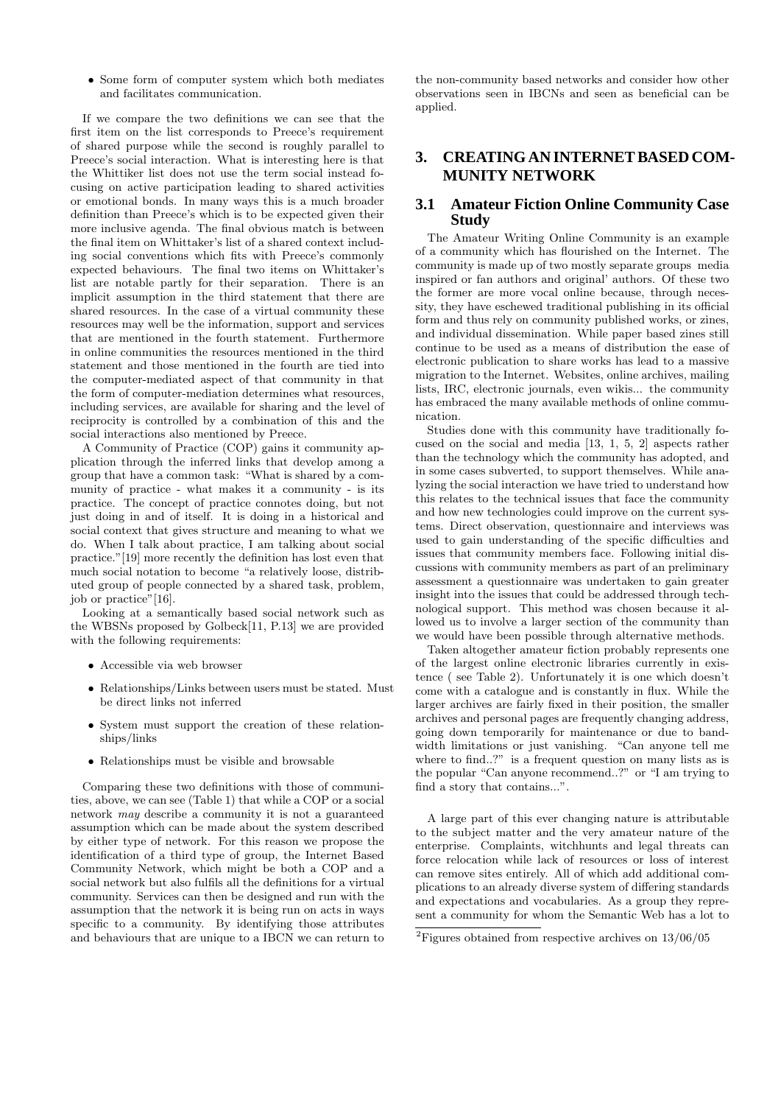• Some form of computer system which both mediates and facilitates communication.

If we compare the two definitions we can see that the first item on the list corresponds to Preece's requirement of shared purpose while the second is roughly parallel to Preece's social interaction. What is interesting here is that the Whittiker list does not use the term social instead focusing on active participation leading to shared activities or emotional bonds. In many ways this is a much broader definition than Preece's which is to be expected given their more inclusive agenda. The final obvious match is between the final item on Whittaker's list of a shared context including social conventions which fits with Preece's commonly expected behaviours. The final two items on Whittaker's list are notable partly for their separation. There is an implicit assumption in the third statement that there are shared resources. In the case of a virtual community these resources may well be the information, support and services that are mentioned in the fourth statement. Furthermore in online communities the resources mentioned in the third statement and those mentioned in the fourth are tied into the computer-mediated aspect of that community in that the form of computer-mediation determines what resources, including services, are available for sharing and the level of reciprocity is controlled by a combination of this and the social interactions also mentioned by Preece.

A Community of Practice (COP) gains it community application through the inferred links that develop among a group that have a common task: "What is shared by a community of practice - what makes it a community - is its practice. The concept of practice connotes doing, but not just doing in and of itself. It is doing in a historical and social context that gives structure and meaning to what we do. When I talk about practice, I am talking about social practice."[19] more recently the definition has lost even that much social notation to become "a relatively loose, distributed group of people connected by a shared task, problem, job or practice"[16].

Looking at a semantically based social network such as the WBSNs proposed by Golbeck[11, P.13] we are provided with the following requirements:

- Accessible via web browser
- Relationships/Links between users must be stated. Must be direct links not inferred
- System must support the creation of these relationships/links
- Relationships must be visible and browsable

Comparing these two definitions with those of communities, above, we can see (Table 1) that while a COP or a social network may describe a community it is not a guaranteed assumption which can be made about the system described by either type of network. For this reason we propose the identification of a third type of group, the Internet Based Community Network, which might be both a COP and a social network but also fulfils all the definitions for a virtual community. Services can then be designed and run with the assumption that the network it is being run on acts in ways specific to a community. By identifying those attributes and behaviours that are unique to a IBCN we can return to

the non-community based networks and consider how other observations seen in IBCNs and seen as beneficial can be applied.

# **3. CREATING AN INTERNET BASED COM-MUNITY NETWORK**

#### **3.1 Amateur Fiction Online Community Case Study**

The Amateur Writing Online Community is an example of a community which has flourished on the Internet. The community is made up of two mostly separate groups media inspired or fan authors and original' authors. Of these two the former are more vocal online because, through necessity, they have eschewed traditional publishing in its official form and thus rely on community published works, or zines, and individual dissemination. While paper based zines still continue to be used as a means of distribution the ease of electronic publication to share works has lead to a massive migration to the Internet. Websites, online archives, mailing lists, IRC, electronic journals, even wikis... the community has embraced the many available methods of online communication.

Studies done with this community have traditionally focused on the social and media [13, 1, 5, 2] aspects rather than the technology which the community has adopted, and in some cases subverted, to support themselves. While analyzing the social interaction we have tried to understand how this relates to the technical issues that face the community and how new technologies could improve on the current systems. Direct observation, questionnaire and interviews was used to gain understanding of the specific difficulties and issues that community members face. Following initial discussions with community members as part of an preliminary assessment a questionnaire was undertaken to gain greater insight into the issues that could be addressed through technological support. This method was chosen because it allowed us to involve a larger section of the community than we would have been possible through alternative methods.

Taken altogether amateur fiction probably represents one of the largest online electronic libraries currently in existence ( see Table 2). Unfortunately it is one which doesn't come with a catalogue and is constantly in flux. While the larger archives are fairly fixed in their position, the smaller archives and personal pages are frequently changing address, going down temporarily for maintenance or due to bandwidth limitations or just vanishing. "Can anyone tell me where to find..?" is a frequent question on many lists as is the popular "Can anyone recommend..?" or "I am trying to find a story that contains...".

A large part of this ever changing nature is attributable to the subject matter and the very amateur nature of the enterprise. Complaints, witchhunts and legal threats can force relocation while lack of resources or loss of interest can remove sites entirely. All of which add additional complications to an already diverse system of differing standards and expectations and vocabularies. As a group they represent a community for whom the Semantic Web has a lot to

 $^{2}$  Figures obtained from respective archives on  $13/06/05$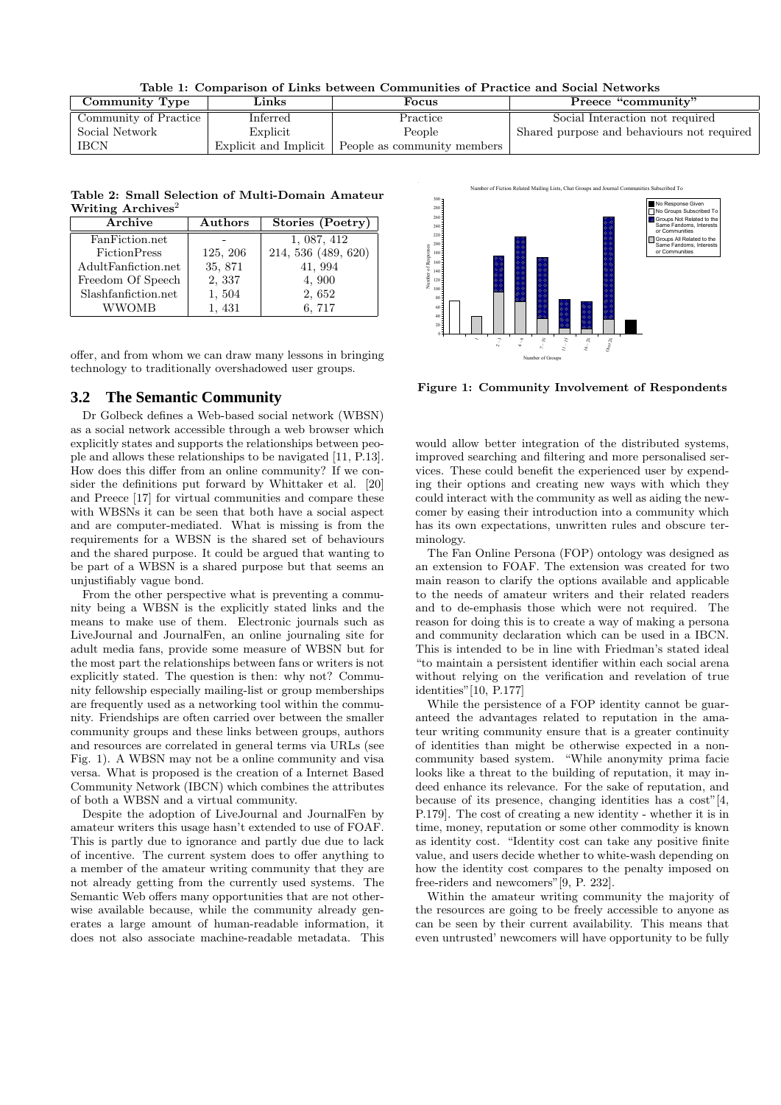Table 1: Comparison of Links between Communities of Practice and Social Networks

| Community Type        | Links    | Focus                                               | Preece "community"                         |
|-----------------------|----------|-----------------------------------------------------|--------------------------------------------|
| Community of Practice | Inferred | Practice                                            | Social Interaction not required            |
| Social Network        | Explicit | People                                              | Shared purpose and behaviours not required |
| <b>IBCN</b>           |          | Explicit and Implicit   People as community members |                                            |

Table 2: Small Selection of Multi-Domain Amateur Writing Archives<sup>2</sup>

| Archive                              | Authors  | Stories (Poetry)    |  |
|--------------------------------------|----------|---------------------|--|
| FanFiction.net                       |          | 1, 087, 412         |  |
| FictionPress                         | 125, 206 | 214, 536 (489, 620) |  |
| $\operatorname{AdultFanfiction.net}$ | 35, 871  | 41, 994             |  |
| Freedom Of Speech                    | 2, 337   | 4,900               |  |
| Slashfanfiction.net                  | 1, 504   | 2,652               |  |
| WWOMB                                | 1, 431   | 6.717               |  |

offer, and from whom we can draw many lessons in bringing technology to traditionally overshadowed user groups.

## **3.2 The Semantic Community**

Dr Golbeck defines a Web-based social network (WBSN) as a social network accessible through a web browser which explicitly states and supports the relationships between people and allows these relationships to be navigated [11, P.13]. How does this differ from an online community? If we consider the definitions put forward by Whittaker et al. [20] and Preece [17] for virtual communities and compare these with WBSNs it can be seen that both have a social aspect and are computer-mediated. What is missing is from the requirements for a WBSN is the shared set of behaviours and the shared purpose. It could be argued that wanting to be part of a WBSN is a shared purpose but that seems an unjustifiably vague bond.

From the other perspective what is preventing a community being a WBSN is the explicitly stated links and the means to make use of them. Electronic journals such as LiveJournal and JournalFen, an online journaling site for adult media fans, provide some measure of WBSN but for the most part the relationships between fans or writers is not explicitly stated. The question is then: why not? Community fellowship especially mailing-list or group memberships are frequently used as a networking tool within the community. Friendships are often carried over between the smaller community groups and these links between groups, authors and resources are correlated in general terms via URLs (see Fig. 1). A WBSN may not be a online community and visa versa. What is proposed is the creation of a Internet Based Community Network (IBCN) which combines the attributes of both a WBSN and a virtual community.

Despite the adoption of LiveJournal and JournalFen by amateur writers this usage hasn't extended to use of FOAF. This is partly due to ignorance and partly due due to lack of incentive. The current system does to offer anything to a member of the amateur writing community that they are not already getting from the currently used systems. The Semantic Web offers many opportunities that are not otherwise available because, while the community already generates a large amount of human-readable information, it does not also associate machine-readable metadata. This



Figure 1: Community Involvement of Respondents

would allow better integration of the distributed systems, improved searching and filtering and more personalised services. These could benefit the experienced user by expending their options and creating new ways with which they could interact with the community as well as aiding the newcomer by easing their introduction into a community which has its own expectations, unwritten rules and obscure terminology.

The Fan Online Persona (FOP) ontology was designed as an extension to FOAF. The extension was created for two main reason to clarify the options available and applicable to the needs of amateur writers and their related readers and to de-emphasis those which were not required. The reason for doing this is to create a way of making a persona and community declaration which can be used in a IBCN. This is intended to be in line with Friedman's stated ideal "to maintain a persistent identifier within each social arena without relying on the verification and revelation of true identities"[10, P.177]

While the persistence of a FOP identity cannot be guaranteed the advantages related to reputation in the amateur writing community ensure that is a greater continuity of identities than might be otherwise expected in a noncommunity based system. "While anonymity prima facie looks like a threat to the building of reputation, it may indeed enhance its relevance. For the sake of reputation, and because of its presence, changing identities has a cost"[4, P.179]. The cost of creating a new identity - whether it is in time, money, reputation or some other commodity is known as identity cost. "Identity cost can take any positive finite value, and users decide whether to white-wash depending on how the identity cost compares to the penalty imposed on free-riders and newcomers"[9, P. 232].

Within the amateur writing community the majority of the resources are going to be freely accessible to anyone as can be seen by their current availability. This means that even untrusted' newcomers will have opportunity to be fully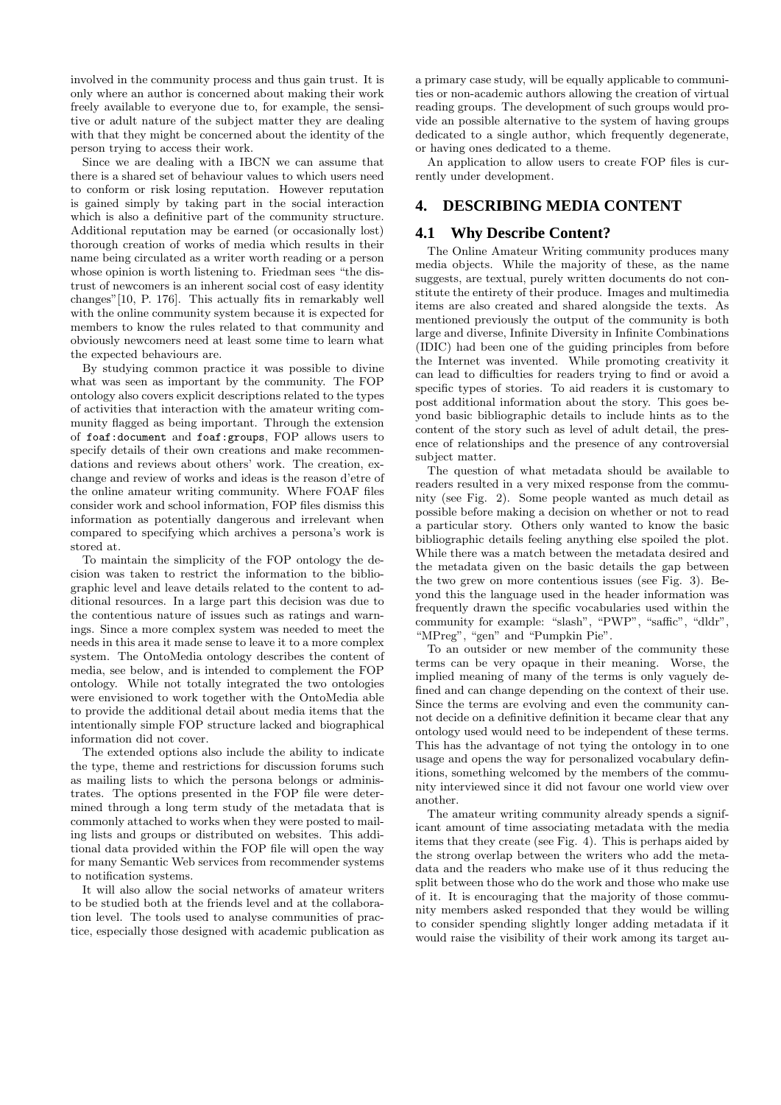involved in the community process and thus gain trust. It is only where an author is concerned about making their work freely available to everyone due to, for example, the sensitive or adult nature of the subject matter they are dealing with that they might be concerned about the identity of the person trying to access their work.

Since we are dealing with a IBCN we can assume that there is a shared set of behaviour values to which users need to conform or risk losing reputation. However reputation is gained simply by taking part in the social interaction which is also a definitive part of the community structure. Additional reputation may be earned (or occasionally lost) thorough creation of works of media which results in their name being circulated as a writer worth reading or a person whose opinion is worth listening to. Friedman sees "the distrust of newcomers is an inherent social cost of easy identity changes"[10, P. 176]. This actually fits in remarkably well with the online community system because it is expected for members to know the rules related to that community and obviously newcomers need at least some time to learn what the expected behaviours are.

By studying common practice it was possible to divine what was seen as important by the community. The FOP ontology also covers explicit descriptions related to the types of activities that interaction with the amateur writing community flagged as being important. Through the extension of foaf:document and foaf:groups, FOP allows users to specify details of their own creations and make recommendations and reviews about others' work. The creation, exchange and review of works and ideas is the reason d'etre of the online amateur writing community. Where FOAF files consider work and school information, FOP files dismiss this information as potentially dangerous and irrelevant when compared to specifying which archives a persona's work is stored at.

To maintain the simplicity of the FOP ontology the decision was taken to restrict the information to the bibliographic level and leave details related to the content to additional resources. In a large part this decision was due to the contentious nature of issues such as ratings and warnings. Since a more complex system was needed to meet the needs in this area it made sense to leave it to a more complex system. The OntoMedia ontology describes the content of media, see below, and is intended to complement the FOP ontology. While not totally integrated the two ontologies were envisioned to work together with the OntoMedia able to provide the additional detail about media items that the intentionally simple FOP structure lacked and biographical information did not cover.

The extended options also include the ability to indicate the type, theme and restrictions for discussion forums such as mailing lists to which the persona belongs or administrates. The options presented in the FOP file were determined through a long term study of the metadata that is commonly attached to works when they were posted to mailing lists and groups or distributed on websites. This additional data provided within the FOP file will open the way for many Semantic Web services from recommender systems to notification systems.

It will also allow the social networks of amateur writers to be studied both at the friends level and at the collaboration level. The tools used to analyse communities of practice, especially those designed with academic publication as

a primary case study, will be equally applicable to communities or non-academic authors allowing the creation of virtual reading groups. The development of such groups would provide an possible alternative to the system of having groups dedicated to a single author, which frequently degenerate, or having ones dedicated to a theme.

An application to allow users to create FOP files is currently under development.

# **4. DESCRIBING MEDIA CONTENT**

# **4.1 Why Describe Content?**

The Online Amateur Writing community produces many media objects. While the majority of these, as the name suggests, are textual, purely written documents do not constitute the entirety of their produce. Images and multimedia items are also created and shared alongside the texts. As mentioned previously the output of the community is both large and diverse, Infinite Diversity in Infinite Combinations (IDIC) had been one of the guiding principles from before the Internet was invented. While promoting creativity it can lead to difficulties for readers trying to find or avoid a specific types of stories. To aid readers it is customary to post additional information about the story. This goes beyond basic bibliographic details to include hints as to the content of the story such as level of adult detail, the presence of relationships and the presence of any controversial subject matter.

The question of what metadata should be available to readers resulted in a very mixed response from the community (see Fig. 2). Some people wanted as much detail as possible before making a decision on whether or not to read a particular story. Others only wanted to know the basic bibliographic details feeling anything else spoiled the plot. While there was a match between the metadata desired and the metadata given on the basic details the gap between the two grew on more contentious issues (see Fig. 3). Beyond this the language used in the header information was frequently drawn the specific vocabularies used within the community for example: "slash", "PWP", "saffic", "dldr", "MPreg", "gen" and "Pumpkin Pie".

To an outsider or new member of the community these terms can be very opaque in their meaning. Worse, the implied meaning of many of the terms is only vaguely defined and can change depending on the context of their use. Since the terms are evolving and even the community cannot decide on a definitive definition it became clear that any ontology used would need to be independent of these terms. This has the advantage of not tying the ontology in to one usage and opens the way for personalized vocabulary definitions, something welcomed by the members of the community interviewed since it did not favour one world view over another.

The amateur writing community already spends a significant amount of time associating metadata with the media items that they create (see Fig. 4). This is perhaps aided by the strong overlap between the writers who add the metadata and the readers who make use of it thus reducing the split between those who do the work and those who make use of it. It is encouraging that the majority of those community members asked responded that they would be willing to consider spending slightly longer adding metadata if it would raise the visibility of their work among its target au-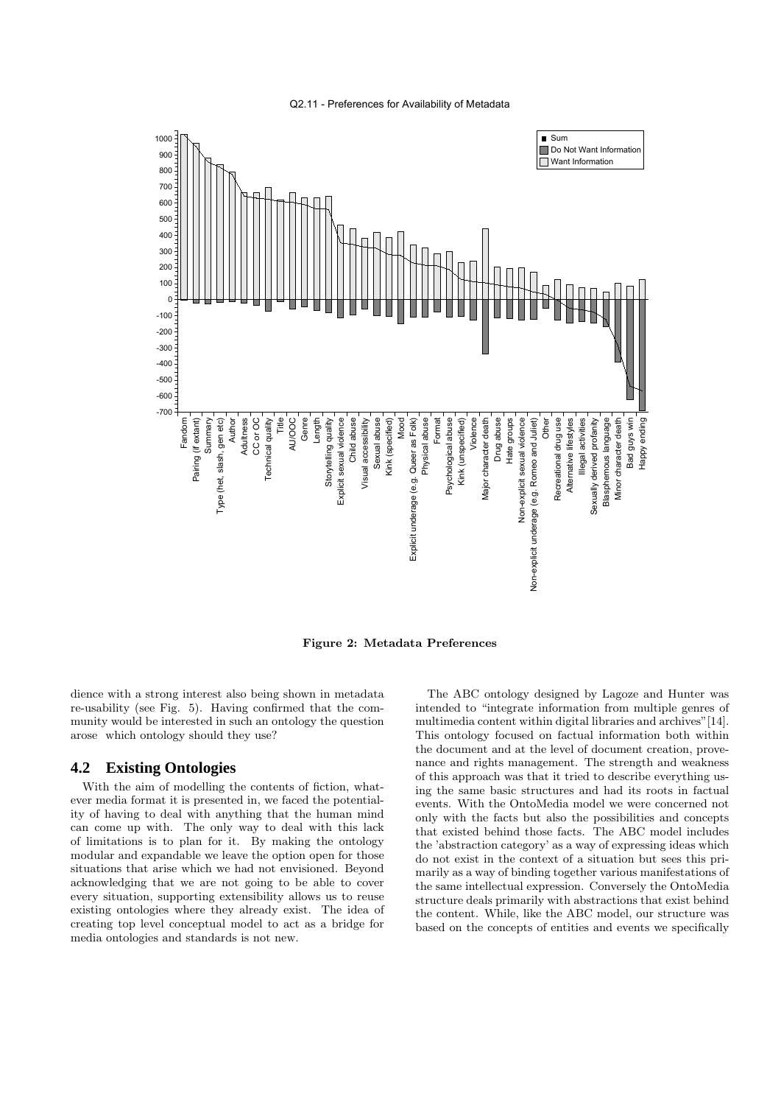



Figure 2: Metadata Preferences

dience with a strong interest also being shown in metadata re-usability (see Fig. 5). Having confirmed that the community would be interested in such an ontology the question arose which ontology should they use?

#### **4.2 Existing Ontologies**

With the aim of modelling the contents of fiction, whatever media format it is presented in, we faced the potentiality of having to deal with anything that the human mind can come up with. The only way to deal with this lack of limitations is to plan for it. By making the ontology modular and expandable we leave the option open for those situations that arise which we had not envisioned. Beyond acknowledging that we are not going to be able to cover every situation, supporting extensibility allows us to reuse existing ontologies where they already exist. The idea of creating top level conceptual model to act as a bridge for media ontologies and standards is not new.

The ABC ontology designed by Lagoze and Hunter was intended to "integrate information from multiple genres of multimedia content within digital libraries and archives"[14]. This ontology focused on factual information both within the document and at the level of document creation, provenance and rights management. The strength and weakness of this approach was that it tried to describe everything using the same basic structures and had its roots in factual events. With the OntoMedia model we were concerned not only with the facts but also the possibilities and concepts that existed behind those facts. The ABC model includes the 'abstraction category' as a way of expressing ideas which do not exist in the context of a situation but sees this primarily as a way of binding together various manifestations of the same intellectual expression. Conversely the OntoMedia structure deals primarily with abstractions that exist behind the content. While, like the ABC model, our structure was based on the concepts of entities and events we specifically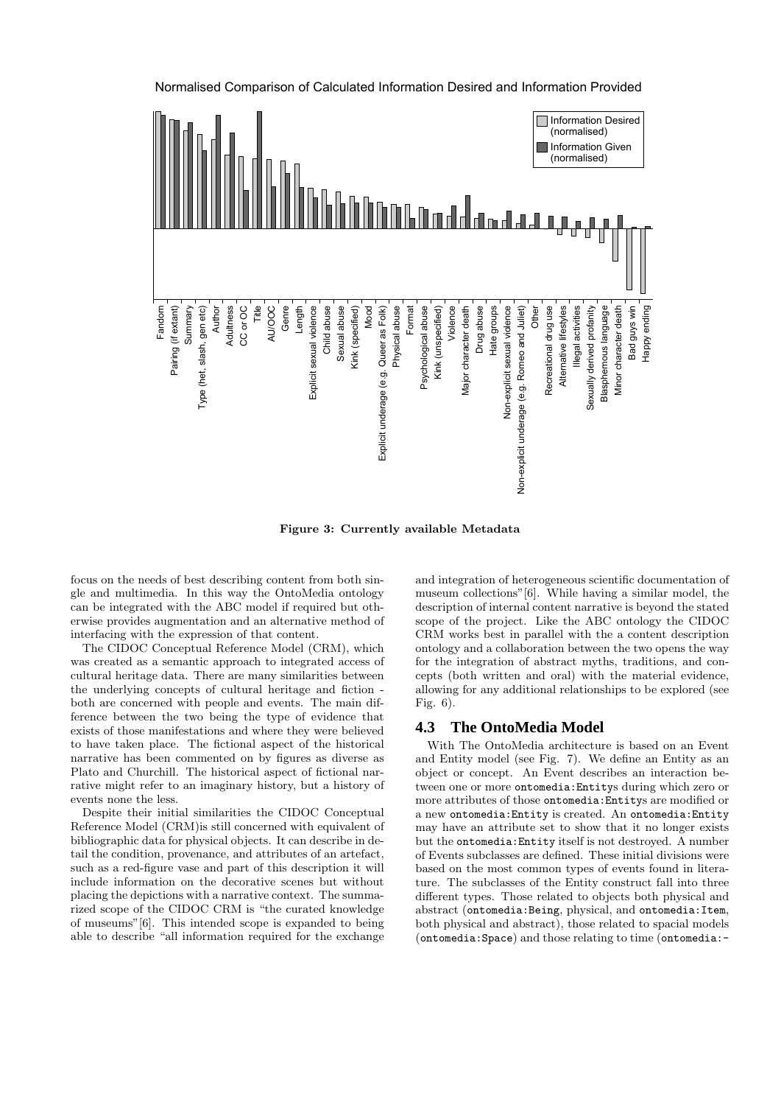



Figure 3: Currently available Metadata

focus on the needs of best describing content from both single and multimedia. In this way the OntoMedia ontology can be integrated with the ABC model if required but otherwise provides augmentation and an alternative method of interfacing with the expression of that content.

The CIDOC Conceptual Reference Model (CRM), which was created as a semantic approach to integrated access of cultural heritage data. There are many similarities between the underlying concepts of cultural heritage and fiction both are concerned with people and events. The main difference between the two being the type of evidence that exists of those manifestations and where they were believed to have taken place. The fictional aspect of the historical narrative has been commented on by figures as diverse as Plato and Churchill. The historical aspect of fictional narrative might refer to an imaginary history, but a history of events none the less.

Despite their initial similarities the CIDOC Conceptual Reference Model (CRM)is still concerned with equivalent of bibliographic data for physical objects. It can describe in detail the condition, provenance, and attributes of an artefact, such as a red-figure vase and part of this description it will include information on the decorative scenes but without placing the depictions with a narrative context. The summarized scope of the CIDOC CRM is "the curated knowledge of museums"[6]. This intended scope is expanded to being able to describe "all information required for the exchange

and integration of heterogeneous scientific documentation of museum collections"[6]. While having a similar model, the description of internal content narrative is beyond the stated scope of the project. Like the ABC ontology the CIDOC CRM works best in parallel with the a content description ontology and a collaboration between the two opens the way for the integration of abstract myths, traditions, and concepts (both written and oral) with the material evidence, allowing for any additional relationships to be explored (see Fig. 6).

#### **4.3 The OntoMedia Model**

With The OntoMedia architecture is based on an Event and Entity model (see Fig. 7). We define an Entity as an object or concept. An Event describes an interaction between one or more ontomedia:Entitys during which zero or more attributes of those ontomedia:Entitys are modified or a new ontomedia:Entity is created. An ontomedia:Entity may have an attribute set to show that it no longer exists but the ontomedia:Entity itself is not destroyed. A number of Events subclasses are defined. These initial divisions were based on the most common types of events found in literature. The subclasses of the Entity construct fall into three different types. Those related to objects both physical and abstract (ontomedia:Being, physical, and ontomedia:Item, both physical and abstract), those related to spacial models (ontomedia:Space) and those relating to time (ontomedia:-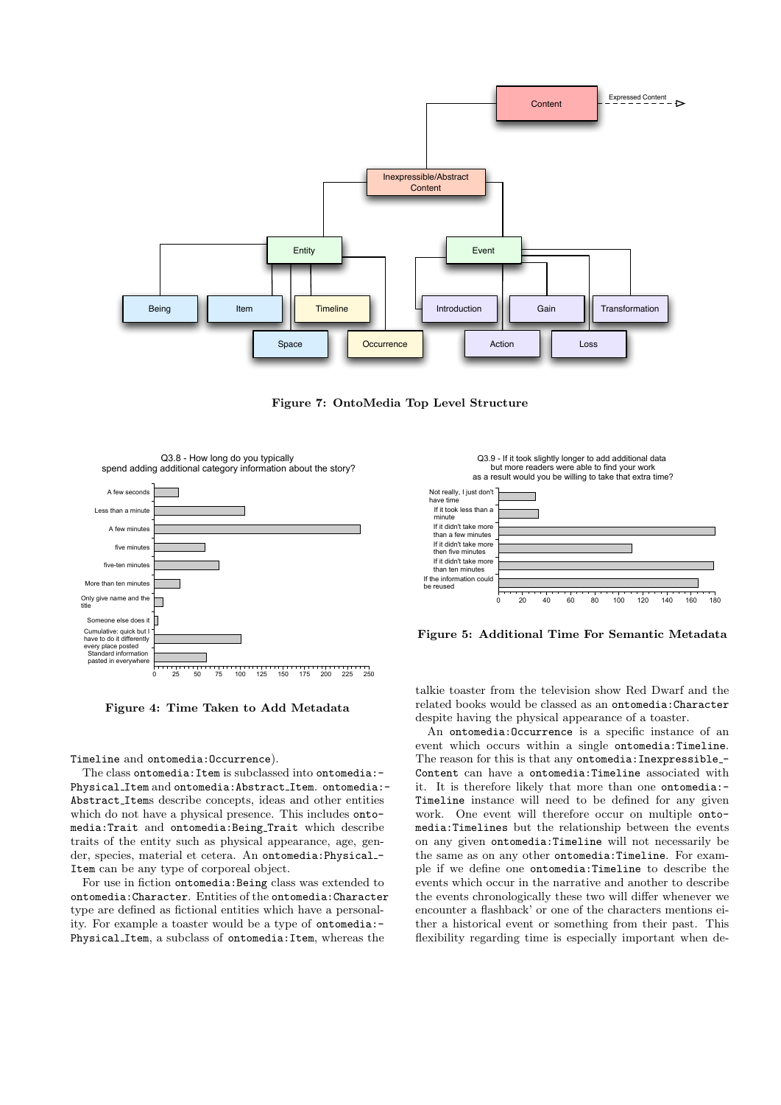





Figure 4: Time Taken to Add Metadata

Timeline and ontomedia:Occurrence).

The class ontomedia: Item is subclassed into ontomedia:-Physical\_Item and ontomedia:Abstract\_Item. ontomedia:-Abstract Items describe concepts, ideas and other entities which do not have a physical presence. This includes ontomedia:Trait and ontomedia:Being Trait which describe traits of the entity such as physical appearance, age, gender, species, material et cetera. An ontomedia: Physical\_-Item can be any type of corporeal object.

For use in fiction ontomedia:Being class was extended to ontomedia:Character. Entities of the ontomedia:Character type are defined as fictional entities which have a personality. For example a toaster would be a type of ontomedia:- Physical Item, a subclass of ontomedia:Item, whereas the



Figure 5: Additional Time For Semantic Metadata

talkie toaster from the television show Red Dwarf and the related books would be classed as an ontomedia:Character despite having the physical appearance of a toaster.

An ontomedia:Occurrence is a specific instance of an event which occurs within a single ontomedia:Timeline. The reason for this is that any ontomedia: Inexpressible\_-Content can have a ontomedia:Timeline associated with it. It is therefore likely that more than one ontomedia:- Timeline instance will need to be defined for any given work. One event will therefore occur on multiple ontomedia:Timelines but the relationship between the events on any given ontomedia:Timeline will not necessarily be the same as on any other ontomedia:Timeline. For example if we define one ontomedia:Timeline to describe the events which occur in the narrative and another to describe the events chronologically these two will differ whenever we encounter a flashback' or one of the characters mentions either a historical event or something from their past. This flexibility regarding time is especially important when de-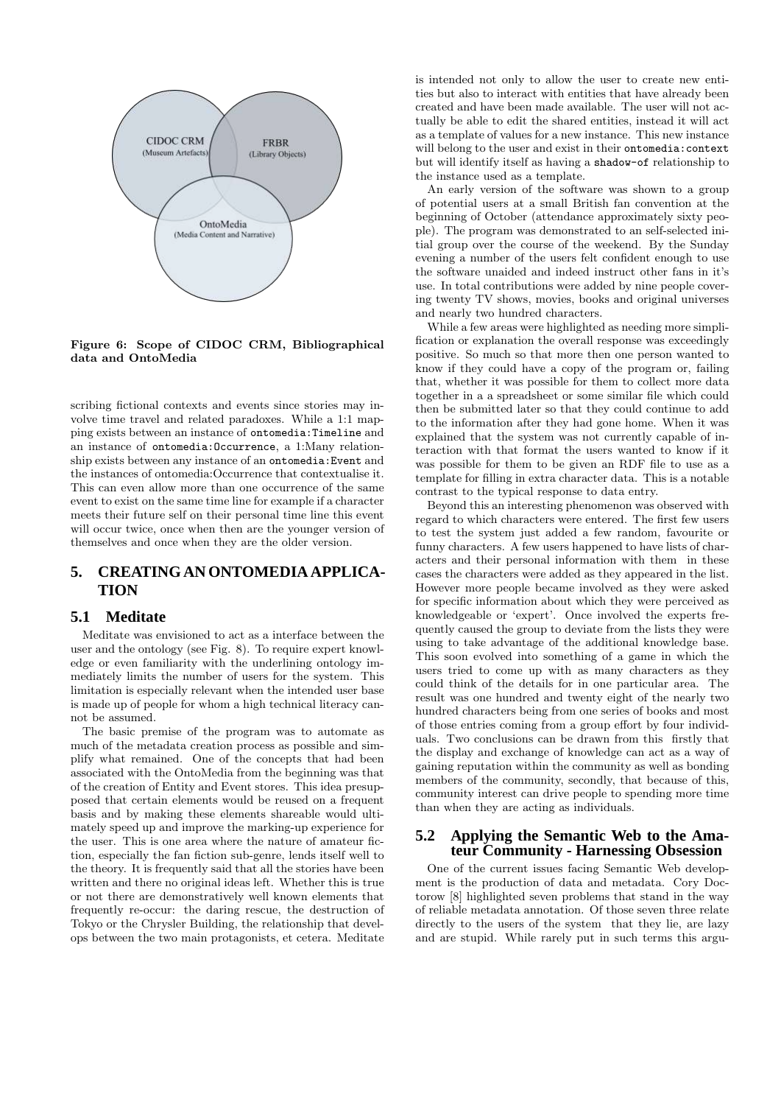

#### Figure 6: Scope of CIDOC CRM, Bibliographical data and OntoMedia

scribing fictional contexts and events since stories may involve time travel and related paradoxes. While a 1:1 mapping exists between an instance of ontomedia:Timeline and an instance of ontomedia:Occurrence, a 1:Many relationship exists between any instance of an ontomedia:Event and the instances of ontomedia:Occurrence that contextualise it. This can even allow more than one occurrence of the same event to exist on the same time line for example if a character meets their future self on their personal time line this event will occur twice, once when then are the younger version of themselves and once when they are the older version.

# **5. CREATING AN ONTOMEDIA APPLICA-TION**

# **5.1 Meditate**

Meditate was envisioned to act as a interface between the user and the ontology (see Fig. 8). To require expert knowledge or even familiarity with the underlining ontology immediately limits the number of users for the system. This limitation is especially relevant when the intended user base is made up of people for whom a high technical literacy cannot be assumed.

The basic premise of the program was to automate as much of the metadata creation process as possible and simplify what remained. One of the concepts that had been associated with the OntoMedia from the beginning was that of the creation of Entity and Event stores. This idea presupposed that certain elements would be reused on a frequent basis and by making these elements shareable would ultimately speed up and improve the marking-up experience for the user. This is one area where the nature of amateur fiction, especially the fan fiction sub-genre, lends itself well to the theory. It is frequently said that all the stories have been written and there no original ideas left. Whether this is true or not there are demonstratively well known elements that frequently re-occur: the daring rescue, the destruction of Tokyo or the Chrysler Building, the relationship that develops between the two main protagonists, et cetera. Meditate

is intended not only to allow the user to create new entities but also to interact with entities that have already been created and have been made available. The user will not actually be able to edit the shared entities, instead it will act as a template of values for a new instance. This new instance will belong to the user and exist in their ontomedia:context but will identify itself as having a shadow-of relationship to the instance used as a template.

An early version of the software was shown to a group of potential users at a small British fan convention at the beginning of October (attendance approximately sixty people). The program was demonstrated to an self-selected initial group over the course of the weekend. By the Sunday evening a number of the users felt confident enough to use the software unaided and indeed instruct other fans in it's use. In total contributions were added by nine people covering twenty TV shows, movies, books and original universes and nearly two hundred characters.

While a few areas were highlighted as needing more simplification or explanation the overall response was exceedingly positive. So much so that more then one person wanted to know if they could have a copy of the program or, failing that, whether it was possible for them to collect more data together in a a spreadsheet or some similar file which could then be submitted later so that they could continue to add to the information after they had gone home. When it was explained that the system was not currently capable of interaction with that format the users wanted to know if it was possible for them to be given an RDF file to use as a template for filling in extra character data. This is a notable contrast to the typical response to data entry.

Beyond this an interesting phenomenon was observed with regard to which characters were entered. The first few users to test the system just added a few random, favourite or funny characters. A few users happened to have lists of characters and their personal information with them in these cases the characters were added as they appeared in the list. However more people became involved as they were asked for specific information about which they were perceived as knowledgeable or 'expert'. Once involved the experts frequently caused the group to deviate from the lists they were using to take advantage of the additional knowledge base. This soon evolved into something of a game in which the users tried to come up with as many characters as they could think of the details for in one particular area. The result was one hundred and twenty eight of the nearly two hundred characters being from one series of books and most of those entries coming from a group effort by four individuals. Two conclusions can be drawn from this firstly that the display and exchange of knowledge can act as a way of gaining reputation within the community as well as bonding members of the community, secondly, that because of this, community interest can drive people to spending more time than when they are acting as individuals.

## **5.2 Applying the Semantic Web to the Amateur Community - Harnessing Obsession**

One of the current issues facing Semantic Web development is the production of data and metadata. Cory Doctorow [8] highlighted seven problems that stand in the way of reliable metadata annotation. Of those seven three relate directly to the users of the system that they lie, are lazy and are stupid. While rarely put in such terms this argu-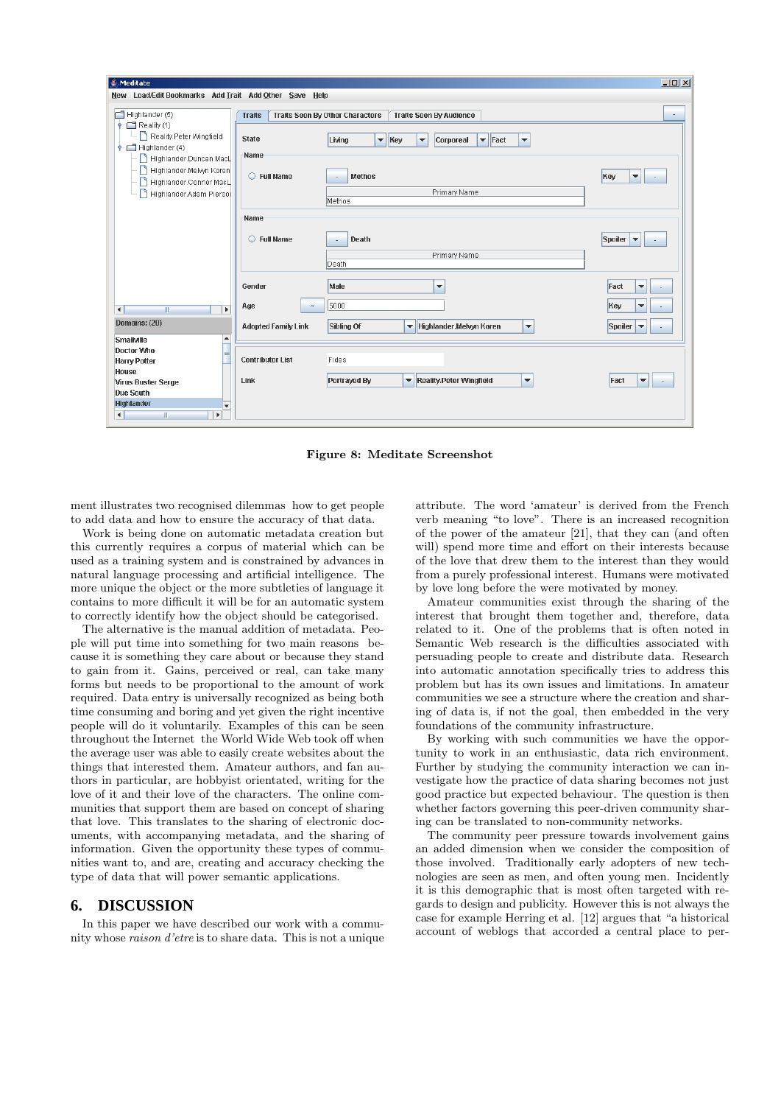| <b>≝</b> Meditate<br>New Load/Edit Bookmarks Add Trait Add Other Save Help                                                                                                                        |                                                                                                     |                                                                                                                                                   | $\Box$ $\Box$ $\times$          |  |
|---------------------------------------------------------------------------------------------------------------------------------------------------------------------------------------------------|-----------------------------------------------------------------------------------------------------|---------------------------------------------------------------------------------------------------------------------------------------------------|---------------------------------|--|
| Highlander (5)                                                                                                                                                                                    | <b>Traits</b><br><b>Traits Seen By Other Characters</b><br><b>Traits Seen By Audience</b><br>$\sim$ |                                                                                                                                                   |                                 |  |
| $\leftarrow \Box$ Reality (1)<br>Reality.Peter Wingfield<br>$\leftarrow$ Highlander (4)<br>Highlander.Duncan MacL<br>Highlander.Melvyn Koren<br>Highlander.Conner MacL<br>Highlander.Adam Piersol | <b>State</b><br>Name<br>○ Full Name                                                                 | Living<br>$\blacktriangledown$ Key<br>$\blacktriangleright$ Fact<br>$\overline{\mathbf{v}}$<br>$\blacktriangledown$<br>Corporeal<br><b>Methos</b> | Key<br>▼                        |  |
|                                                                                                                                                                                                   |                                                                                                     | Primary Name<br>Methos                                                                                                                            |                                 |  |
|                                                                                                                                                                                                   | Name<br>○ Full Name                                                                                 | Death<br>Primary Name<br>Death                                                                                                                    | Spoiler<br>$\blacktriangledown$ |  |
|                                                                                                                                                                                                   | Gender                                                                                              | Male<br>▼                                                                                                                                         | Fact<br>▼                       |  |
| $\left  \cdot \right $<br>$\mathbb{I}$<br>$\mathbf{F}$                                                                                                                                            | Age<br>$\sim$                                                                                       | 5000                                                                                                                                              | Key<br>▼                        |  |
| Domains: (20)<br>$\blacktriangle$<br>Smallville<br>Doctor Who<br><b>Harry Potter</b><br>House                                                                                                     | <b>Adopted Family Link</b>                                                                          | Highlander.Melwn Koren<br>Sibling Of<br>$\blacktriangledown$                                                                                      | Spoiler<br>$\blacktriangledown$ |  |
|                                                                                                                                                                                                   | <b>Contributor List</b>                                                                             | Fides                                                                                                                                             |                                 |  |
| Virus Buster Serge<br>Due South<br>Highlander<br>$\overline{\phantom{a}}$                                                                                                                         | Link                                                                                                | Reality.Peter Wingfield<br>Portrayed By<br>$\overline{\phantom{0}}$                                                                               | Fact<br>▼                       |  |
| $\blacksquare$<br>$\blacktriangleright$<br>$\blacksquare$                                                                                                                                         |                                                                                                     |                                                                                                                                                   |                                 |  |

Figure 8: Meditate Screenshot

ment illustrates two recognised dilemmas how to get people to add data and how to ensure the accuracy of that data.

Work is being done on automatic metadata creation but this currently requires a corpus of material which can be used as a training system and is constrained by advances in natural language processing and artificial intelligence. The more unique the object or the more subtleties of language it contains to more difficult it will be for an automatic system to correctly identify how the object should be categorised.

The alternative is the manual addition of metadata. People will put time into something for two main reasons because it is something they care about or because they stand to gain from it. Gains, perceived or real, can take many forms but needs to be proportional to the amount of work required. Data entry is universally recognized as being both time consuming and boring and yet given the right incentive people will do it voluntarily. Examples of this can be seen throughout the Internet the World Wide Web took off when the average user was able to easily create websites about the things that interested them. Amateur authors, and fan authors in particular, are hobbyist orientated, writing for the love of it and their love of the characters. The online communities that support them are based on concept of sharing that love. This translates to the sharing of electronic documents, with accompanying metadata, and the sharing of information. Given the opportunity these types of communities want to, and are, creating and accuracy checking the type of data that will power semantic applications.

## **6. DISCUSSION**

In this paper we have described our work with a community whose raison d'etre is to share data. This is not a unique attribute. The word 'amateur' is derived from the French verb meaning "to love". There is an increased recognition of the power of the amateur [21], that they can (and often will) spend more time and effort on their interests because of the love that drew them to the interest than they would from a purely professional interest. Humans were motivated by love long before the were motivated by money.

Amateur communities exist through the sharing of the interest that brought them together and, therefore, data related to it. One of the problems that is often noted in Semantic Web research is the difficulties associated with persuading people to create and distribute data. Research into automatic annotation specifically tries to address this problem but has its own issues and limitations. In amateur communities we see a structure where the creation and sharing of data is, if not the goal, then embedded in the very foundations of the community infrastructure.

By working with such communities we have the opportunity to work in an enthusiastic, data rich environment. Further by studying the community interaction we can investigate how the practice of data sharing becomes not just good practice but expected behaviour. The question is then whether factors governing this peer-driven community sharing can be translated to non-community networks.

The community peer pressure towards involvement gains an added dimension when we consider the composition of those involved. Traditionally early adopters of new technologies are seen as men, and often young men. Incidently it is this demographic that is most often targeted with regards to design and publicity. However this is not always the case for example Herring et al. [12] argues that "a historical account of weblogs that accorded a central place to per